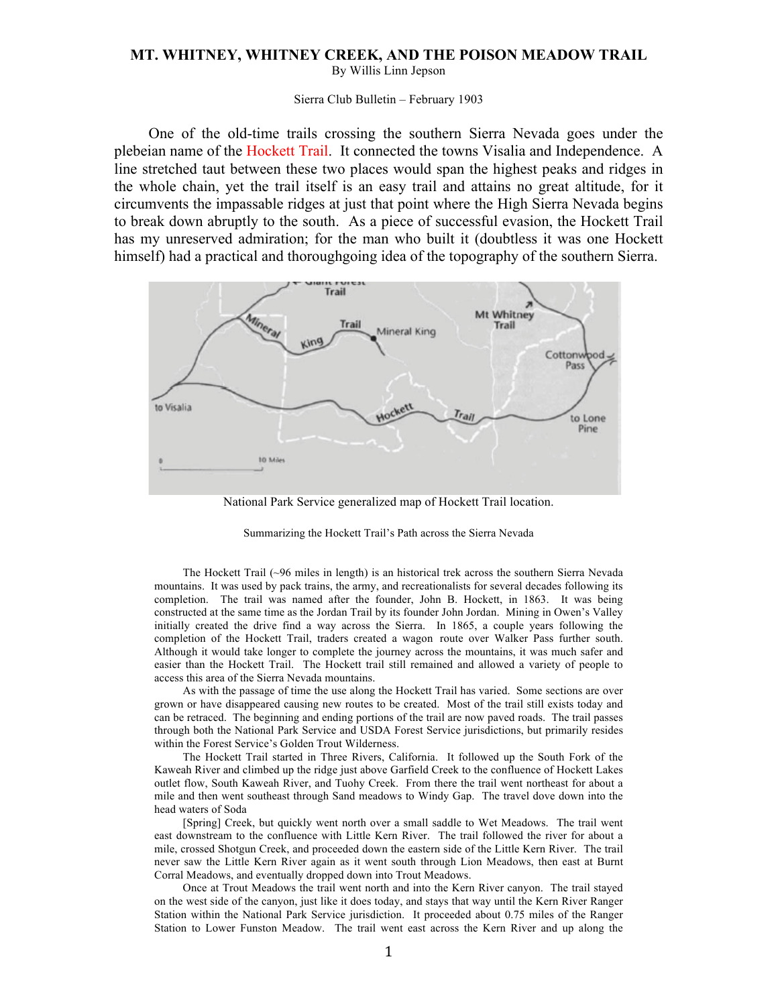## **MT. WHITNEY, WHITNEY CREEK, AND THE POISON MEADOW TRAIL**

By Willis Linn Jepson

## Sierra Club Bulletin – February 1903

One of the old-time trails crossing the southern Sierra Nevada goes under the plebeian name of the Hockett Trail. It connected the towns Visalia and Independence. A line stretched taut between these two places would span the highest peaks and ridges in the whole chain, yet the trail itself is an easy trail and attains no great altitude, for it circumvents the impassable ridges at just that point where the High Sierra Nevada begins to break down abruptly to the south. As a piece of successful evasion, the Hockett Trail has my unreserved admiration; for the man who built it (doubtless it was one Hockett himself) had a practical and thoroughgoing idea of the topography of the southern Sierra.



National Park Service generalized map of Hockett Trail location.

## Summarizing the Hockett Trail's Path across the Sierra Nevada

The Hockett Trail (~96 miles in length) is an historical trek across the southern Sierra Nevada mountains. It was used by pack trains, the army, and recreationalists for several decades following its completion. The trail was named after the founder, John B. Hockett, in 1863. It was being constructed at the same time as the Jordan Trail by its founder John Jordan. Mining in Owen's Valley initially created the drive find a way across the Sierra. In 1865, a couple years following the completion of the Hockett Trail, traders created a wagon route over Walker Pass further south. Although it would take longer to complete the journey across the mountains, it was much safer and easier than the Hockett Trail. The Hockett trail still remained and allowed a variety of people to access this area of the Sierra Nevada mountains.

As with the passage of time the use along the Hockett Trail has varied. Some sections are over grown or have disappeared causing new routes to be created. Most of the trail still exists today and can be retraced. The beginning and ending portions of the trail are now paved roads. The trail passes through both the National Park Service and USDA Forest Service jurisdictions, but primarily resides within the Forest Service's Golden Trout Wilderness.

The Hockett Trail started in Three Rivers, California. It followed up the South Fork of the Kaweah River and climbed up the ridge just above Garfield Creek to the confluence of Hockett Lakes outlet flow, South Kaweah River, and Tuohy Creek. From there the trail went northeast for about a mile and then went southeast through Sand meadows to Windy Gap. The travel dove down into the head waters of Soda

[Spring] Creek, but quickly went north over a small saddle to Wet Meadows. The trail went east downstream to the confluence with Little Kern River. The trail followed the river for about a mile, crossed Shotgun Creek, and proceeded down the eastern side of the Little Kern River. The trail never saw the Little Kern River again as it went south through Lion Meadows, then east at Burnt Corral Meadows, and eventually dropped down into Trout Meadows.

Once at Trout Meadows the trail went north and into the Kern River canyon. The trail stayed on the west side of the canyon, just like it does today, and stays that way until the Kern River Ranger Station within the National Park Service jurisdiction. It proceeded about 0.75 miles of the Ranger Station to Lower Funston Meadow. The trail went east across the Kern River and up along the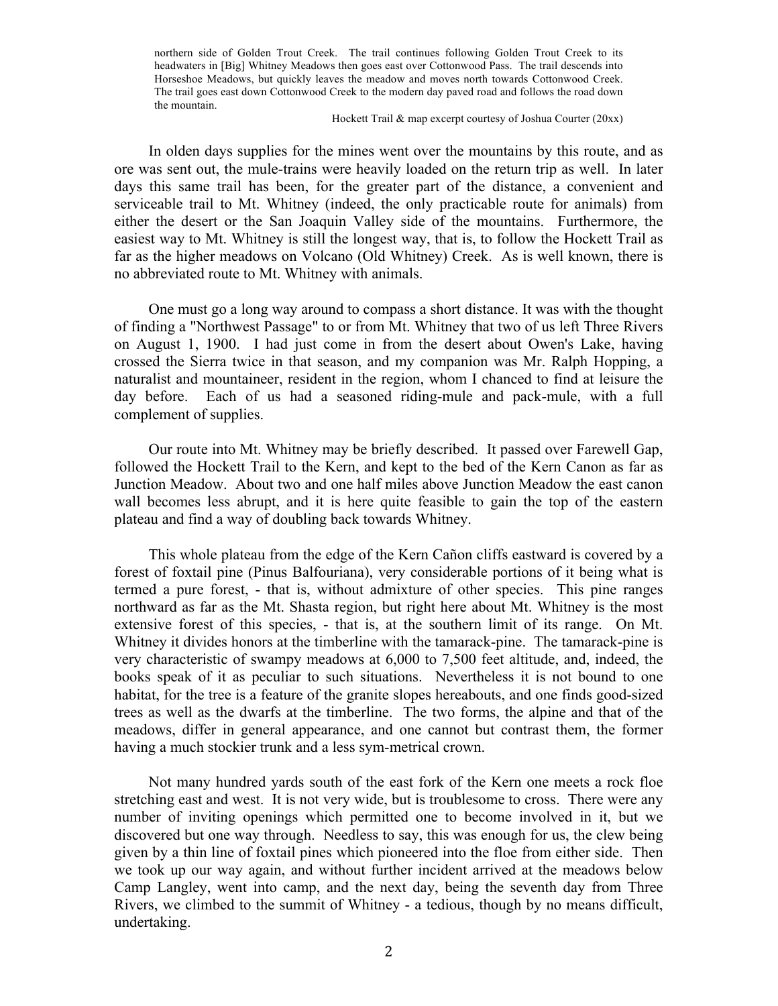northern side of Golden Trout Creek. The trail continues following Golden Trout Creek to its headwaters in [Big] Whitney Meadows then goes east over Cottonwood Pass. The trail descends into Horseshoe Meadows, but quickly leaves the meadow and moves north towards Cottonwood Creek. The trail goes east down Cottonwood Creek to the modern day paved road and follows the road down the mountain.

## Hockett Trail & map excerpt courtesy of Joshua Courter (20xx)

In olden days supplies for the mines went over the mountains by this route, and as ore was sent out, the mule-trains were heavily loaded on the return trip as well. In later days this same trail has been, for the greater part of the distance, a convenient and serviceable trail to Mt. Whitney (indeed, the only practicable route for animals) from either the desert or the San Joaquin Valley side of the mountains. Furthermore, the easiest way to Mt. Whitney is still the longest way, that is, to follow the Hockett Trail as far as the higher meadows on Volcano (Old Whitney) Creek. As is well known, there is no abbreviated route to Mt. Whitney with animals.

One must go a long way around to compass a short distance. It was with the thought of finding a "Northwest Passage" to or from Mt. Whitney that two of us left Three Rivers on August 1, 1900. I had just come in from the desert about Owen's Lake, having crossed the Sierra twice in that season, and my companion was Mr. Ralph Hopping, a naturalist and mountaineer, resident in the region, whom I chanced to find at leisure the day before. Each of us had a seasoned riding-mule and pack-mule, with a full complement of supplies.

Our route into Mt. Whitney may be briefly described. It passed over Farewell Gap, followed the Hockett Trail to the Kern, and kept to the bed of the Kern Canon as far as Junction Meadow. About two and one half miles above Junction Meadow the east canon wall becomes less abrupt, and it is here quite feasible to gain the top of the eastern plateau and find a way of doubling back towards Whitney.

This whole plateau from the edge of the Kern Cañon cliffs eastward is covered by a forest of foxtail pine (Pinus Balfouriana), very considerable portions of it being what is termed a pure forest, - that is, without admixture of other species. This pine ranges northward as far as the Mt. Shasta region, but right here about Mt. Whitney is the most extensive forest of this species, - that is, at the southern limit of its range. On Mt. Whitney it divides honors at the timberline with the tamarack-pine. The tamarack-pine is very characteristic of swampy meadows at 6,000 to 7,500 feet altitude, and, indeed, the books speak of it as peculiar to such situations. Nevertheless it is not bound to one habitat, for the tree is a feature of the granite slopes hereabouts, and one finds good-sized trees as well as the dwarfs at the timberline. The two forms, the alpine and that of the meadows, differ in general appearance, and one cannot but contrast them, the former having a much stockier trunk and a less sym-metrical crown.

Not many hundred yards south of the east fork of the Kern one meets a rock floe stretching east and west. It is not very wide, but is troublesome to cross. There were any number of inviting openings which permitted one to become involved in it, but we discovered but one way through. Needless to say, this was enough for us, the clew being given by a thin line of foxtail pines which pioneered into the floe from either side. Then we took up our way again, and without further incident arrived at the meadows below Camp Langley, went into camp, and the next day, being the seventh day from Three Rivers, we climbed to the summit of Whitney - a tedious, though by no means difficult, undertaking.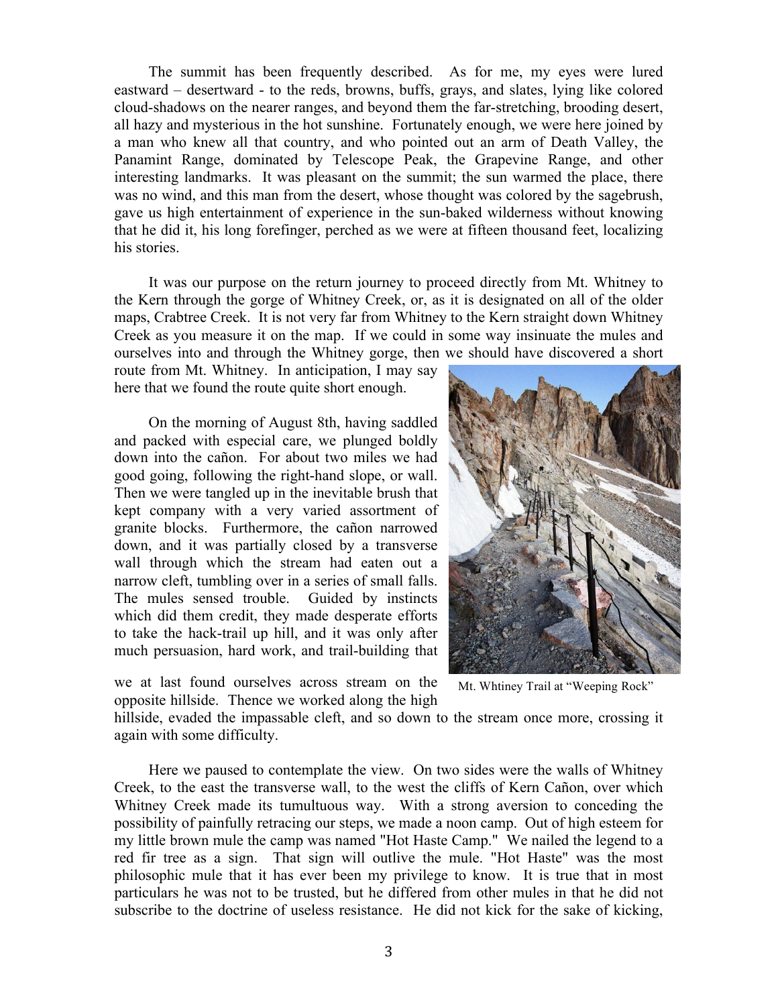The summit has been frequently described. As for me, my eyes were lured eastward – desertward - to the reds, browns, buffs, grays, and slates, lying like colored cloud-shadows on the nearer ranges, and beyond them the far-stretching, brooding desert, all hazy and mysterious in the hot sunshine. Fortunately enough, we were here joined by a man who knew all that country, and who pointed out an arm of Death Valley, the Panamint Range, dominated by Telescope Peak, the Grapevine Range, and other interesting landmarks. It was pleasant on the summit; the sun warmed the place, there was no wind, and this man from the desert, whose thought was colored by the sagebrush, gave us high entertainment of experience in the sun-baked wilderness without knowing that he did it, his long forefinger, perched as we were at fifteen thousand feet, localizing his stories.

It was our purpose on the return journey to proceed directly from Mt. Whitney to the Kern through the gorge of Whitney Creek, or, as it is designated on all of the older maps, Crabtree Creek. It is not very far from Whitney to the Kern straight down Whitney Creek as you measure it on the map. If we could in some way insinuate the mules and ourselves into and through the Whitney gorge, then we should have discovered a short

route from Mt. Whitney. In anticipation, I may say here that we found the route quite short enough.

On the morning of August 8th, having saddled and packed with especial care, we plunged boldly down into the cañon. For about two miles we had good going, following the right-hand slope, or wall. Then we were tangled up in the inevitable brush that kept company with a very varied assortment of granite blocks. Furthermore, the cañon narrowed down, and it was partially closed by a transverse wall through which the stream had eaten out a narrow cleft, tumbling over in a series of small falls. The mules sensed trouble. Guided by instincts which did them credit, they made desperate efforts to take the hack-trail up hill, and it was only after much persuasion, hard work, and trail-building that



we at last found ourselves across stream on the opposite hillside. Thence we worked along the high

Mt. Whtiney Trail at "Weeping Rock"

hillside, evaded the impassable cleft, and so down to the stream once more, crossing it again with some difficulty.

Here we paused to contemplate the view. On two sides were the walls of Whitney Creek, to the east the transverse wall, to the west the cliffs of Kern Cañon, over which Whitney Creek made its tumultuous way. With a strong aversion to conceding the possibility of painfully retracing our steps, we made a noon camp. Out of high esteem for my little brown mule the camp was named "Hot Haste Camp." We nailed the legend to a red fir tree as a sign. That sign will outlive the mule. "Hot Haste" was the most philosophic mule that it has ever been my privilege to know. It is true that in most particulars he was not to be trusted, but he differed from other mules in that he did not subscribe to the doctrine of useless resistance. He did not kick for the sake of kicking,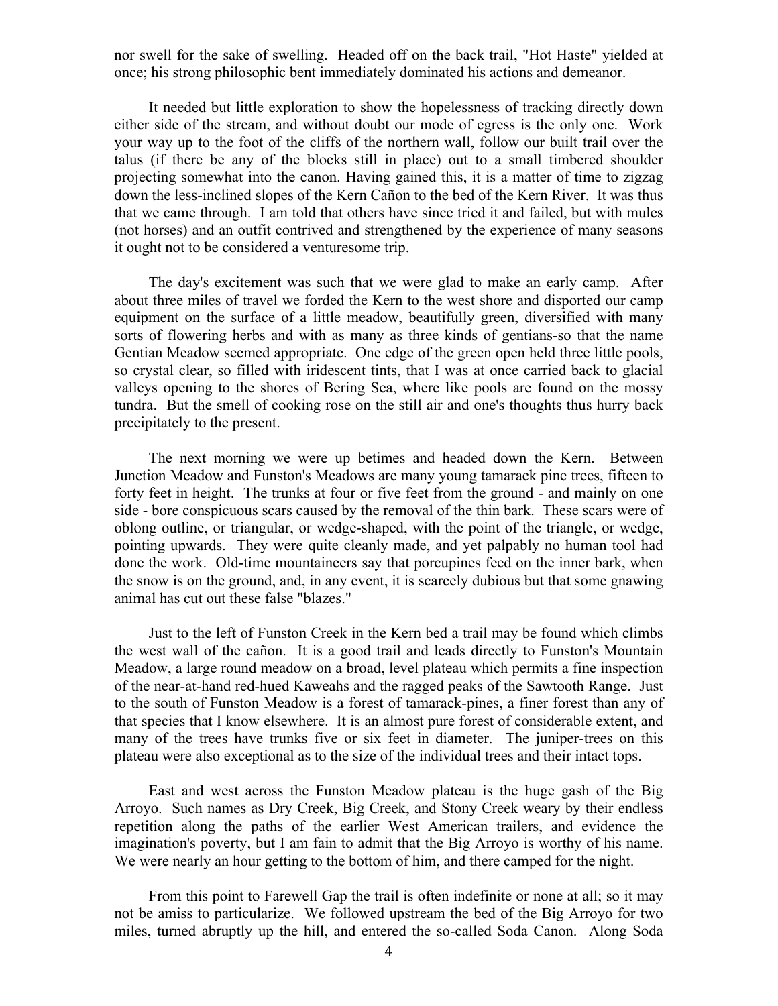nor swell for the sake of swelling. Headed off on the back trail, "Hot Haste" yielded at once; his strong philosophic bent immediately dominated his actions and demeanor.

It needed but little exploration to show the hopelessness of tracking directly down either side of the stream, and without doubt our mode of egress is the only one. Work your way up to the foot of the cliffs of the northern wall, follow our built trail over the talus (if there be any of the blocks still in place) out to a small timbered shoulder projecting somewhat into the canon. Having gained this, it is a matter of time to zigzag down the less-inclined slopes of the Kern Cañon to the bed of the Kern River. It was thus that we came through. I am told that others have since tried it and failed, but with mules (not horses) and an outfit contrived and strengthened by the experience of many seasons it ought not to be considered a venturesome trip.

The day's excitement was such that we were glad to make an early camp. After about three miles of travel we forded the Kern to the west shore and disported our camp equipment on the surface of a little meadow, beautifully green, diversified with many sorts of flowering herbs and with as many as three kinds of gentians-so that the name Gentian Meadow seemed appropriate. One edge of the green open held three little pools, so crystal clear, so filled with iridescent tints, that I was at once carried back to glacial valleys opening to the shores of Bering Sea, where like pools are found on the mossy tundra. But the smell of cooking rose on the still air and one's thoughts thus hurry back precipitately to the present.

The next morning we were up betimes and headed down the Kern. Between Junction Meadow and Funston's Meadows are many young tamarack pine trees, fifteen to forty feet in height. The trunks at four or five feet from the ground - and mainly on one side - bore conspicuous scars caused by the removal of the thin bark. These scars were of oblong outline, or triangular, or wedge-shaped, with the point of the triangle, or wedge, pointing upwards. They were quite cleanly made, and yet palpably no human tool had done the work. Old-time mountaineers say that porcupines feed on the inner bark, when the snow is on the ground, and, in any event, it is scarcely dubious but that some gnawing animal has cut out these false "blazes."

Just to the left of Funston Creek in the Kern bed a trail may be found which climbs the west wall of the cañon. It is a good trail and leads directly to Funston's Mountain Meadow, a large round meadow on a broad, level plateau which permits a fine inspection of the near-at-hand red-hued Kaweahs and the ragged peaks of the Sawtooth Range. Just to the south of Funston Meadow is a forest of tamarack-pines, a finer forest than any of that species that I know elsewhere. It is an almost pure forest of considerable extent, and many of the trees have trunks five or six feet in diameter. The juniper-trees on this plateau were also exceptional as to the size of the individual trees and their intact tops.

East and west across the Funston Meadow plateau is the huge gash of the Big Arroyo. Such names as Dry Creek, Big Creek, and Stony Creek weary by their endless repetition along the paths of the earlier West American trailers, and evidence the imagination's poverty, but I am fain to admit that the Big Arroyo is worthy of his name. We were nearly an hour getting to the bottom of him, and there camped for the night.

From this point to Farewell Gap the trail is often indefinite or none at all; so it may not be amiss to particularize. We followed upstream the bed of the Big Arroyo for two miles, turned abruptly up the hill, and entered the so-called Soda Canon. Along Soda